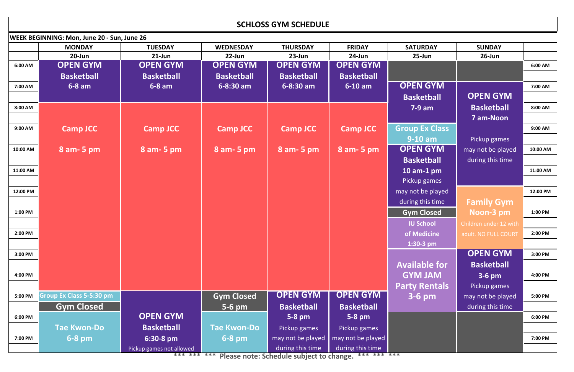| <b>SCHLOSS GYM SCHEDULE</b>                        |                                 |                          |                    |                   |                   |                       |                        |          |  |  |  |  |  |
|----------------------------------------------------|---------------------------------|--------------------------|--------------------|-------------------|-------------------|-----------------------|------------------------|----------|--|--|--|--|--|
| <b>WEEK BEGINNING: Mon, June 20 - Sun, June 26</b> |                                 |                          |                    |                   |                   |                       |                        |          |  |  |  |  |  |
|                                                    | <b>MONDAY</b>                   | <b>TUESDAY</b>           | <b>WEDNESDAY</b>   | <b>THURSDAY</b>   | <b>FRIDAY</b>     | <b>SATURDAY</b>       | <b>SUNDAY</b>          |          |  |  |  |  |  |
|                                                    | $20$ -Jun                       | $21$ -Jun                | $22$ -Jun          | $23$ -Jun         | 24-Jun            | $25$ -Jun             | $26$ -Jun              |          |  |  |  |  |  |
| 6:00 AM                                            | <b>OPEN GYM</b>                 | <b>OPEN GYM</b>          | <b>OPEN GYM</b>    | <b>OPEN GYM</b>   | <b>OPEN GYM</b>   |                       |                        | 6:00 AM  |  |  |  |  |  |
|                                                    | <b>Basketball</b>               | <b>Basketball</b>        | <b>Basketball</b>  | <b>Basketball</b> | <b>Basketball</b> |                       |                        |          |  |  |  |  |  |
| 7:00 AM                                            | $6-8$ am                        | $6-8$ am                 | $6 - 8:30$ am      | 6-8:30 am         | $6-10$ am         | <b>OPEN GYM</b>       |                        | 7:00 AM  |  |  |  |  |  |
|                                                    |                                 |                          |                    |                   |                   | <b>Basketball</b>     | <b>OPEN GYM</b>        |          |  |  |  |  |  |
| 8:00 AM                                            |                                 |                          |                    |                   |                   | $7-9$ am              | <b>Basketball</b>      | 8:00 AM  |  |  |  |  |  |
|                                                    |                                 |                          |                    |                   |                   |                       | <b>7 am-Noon</b>       |          |  |  |  |  |  |
| 9:00 AM                                            | <b>Camp JCC</b>                 | <b>Camp JCC</b>          | <b>Camp JCC</b>    | <b>Camp JCC</b>   | <b>Camp JCC</b>   | <b>Group Ex Class</b> |                        | 9:00 AM  |  |  |  |  |  |
|                                                    |                                 |                          |                    |                   |                   | $9-10$ am             | Pickup games           |          |  |  |  |  |  |
| 10:00 AM                                           | 8 am - 5 pm                     | 8 am - 5 pm              | 8 am - 5 pm        | $8$ am- 5 pm      | 8 am - 5 pm       | <b>OPEN GYM</b>       | may not be played      | 10:00 AM |  |  |  |  |  |
|                                                    |                                 |                          |                    |                   |                   | <b>Basketball</b>     | during this time       |          |  |  |  |  |  |
| 11:00 AM                                           |                                 |                          |                    |                   |                   | 10 am-1 $pm$          |                        | 11:00 AM |  |  |  |  |  |
|                                                    |                                 |                          |                    |                   |                   | Pickup games          |                        |          |  |  |  |  |  |
| 12:00 PM                                           |                                 |                          |                    |                   |                   | may not be played     |                        | 12:00 PM |  |  |  |  |  |
|                                                    |                                 |                          |                    |                   |                   | during this time      | <b>Family Gym</b>      |          |  |  |  |  |  |
| 1:00 PM                                            |                                 |                          |                    |                   |                   | <b>Gym Closed</b>     | Noon-3 pm              | 1:00 PM  |  |  |  |  |  |
|                                                    |                                 |                          |                    |                   |                   | <b>IU School</b>      | Children under 12 with |          |  |  |  |  |  |
| 2:00 PM                                            |                                 |                          |                    |                   |                   | of Medicine           | adult. NO FULL COURT   | 2:00 PM  |  |  |  |  |  |
|                                                    |                                 |                          |                    |                   |                   | $1:30-3$ pm           |                        |          |  |  |  |  |  |
| 3:00 PM                                            |                                 |                          |                    |                   |                   |                       | <b>OPEN GYM</b>        | 3:00 PM  |  |  |  |  |  |
|                                                    |                                 |                          |                    |                   |                   | <b>Available for</b>  | <b>Basketball</b>      |          |  |  |  |  |  |
| 4:00 PM                                            |                                 |                          |                    |                   |                   | <b>GYM JAM</b>        | $3-6$ pm               | 4:00 PM  |  |  |  |  |  |
|                                                    |                                 |                          |                    |                   |                   | <b>Party Rentals</b>  | Pickup games           |          |  |  |  |  |  |
| 5:00 PM                                            | <b>Group Ex Class 5-5:30 pm</b> |                          | <b>Gym Closed</b>  | <b>OPEN GYM</b>   | <b>OPEN GYM</b>   | $3-6$ pm              | may not be played      | 5:00 PM  |  |  |  |  |  |
|                                                    | <b>Gym Closed</b>               |                          | $5-6$ pm           | <b>Basketball</b> | <b>Basketball</b> |                       | during this time       |          |  |  |  |  |  |
| 6:00 PM                                            |                                 | <b>OPEN GYM</b>          |                    | $5-8$ pm          | $5-8$ pm          |                       |                        | 6:00 PM  |  |  |  |  |  |
|                                                    | <b>Tae Kwon-Do</b>              | <b>Basketball</b>        | <b>Tae Kwon-Do</b> | Pickup games      | Pickup games      |                       |                        |          |  |  |  |  |  |
| 7:00 PM                                            | $6-8$ pm                        | 6:30-8 pm                | $6-8$ pm           | may not be played | may not be played |                       |                        | 7:00 PM  |  |  |  |  |  |
|                                                    |                                 | Pickup games not allowed |                    | during this time  | during this time  |                       |                        |          |  |  |  |  |  |